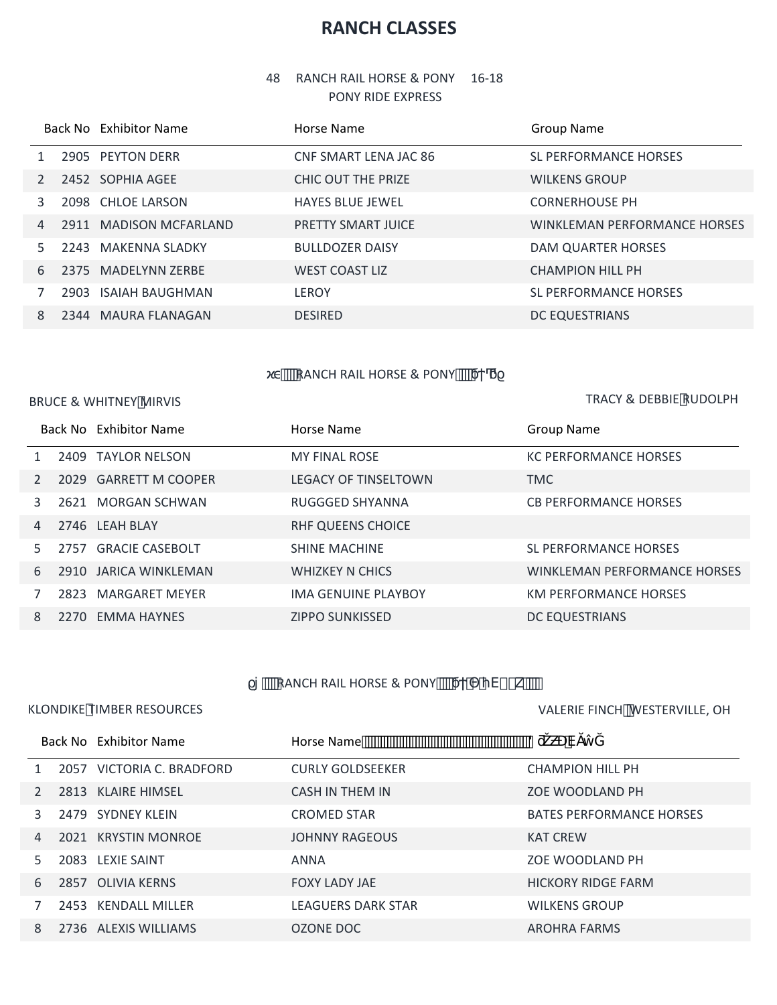# **RANCH CLASSES**

## RANCH RAIL HORSE & PONY 16-18 PONY RIDE EXPRESS

|                |      | Back No Exhibitor Name   | Horse Name                | <b>Group Name</b>                   |
|----------------|------|--------------------------|---------------------------|-------------------------------------|
|                |      | 2905 PEYTON DERR         | CNF SMART LENA JAC 86     | SL PERFORMANCE HORSES               |
| $\overline{2}$ |      | 2452 SOPHIA AGEE         | CHIC OUT THE PRIZE        | <b>WILKENS GROUP</b>                |
| 3              |      | 2098 CHLOE LARSON        | <b>HAYES BLUE JEWEL</b>   | <b>CORNERHOUSE PH</b>               |
| $\overline{4}$ | 2911 | <b>MADISON MCFARLAND</b> | <b>PRETTY SMART JUICE</b> | <b>WINKLEMAN PERFORMANCE HORSES</b> |
| 5.             |      | 2243 MAKENNA SLADKY      | <b>BULLDOZER DAISY</b>    | DAM QUARTER HORSES                  |
| 6              |      | 2375 MADELYNN ZERBE      | <b>WEST COAST LIZ</b>     | <b>CHAMPION HILL PH</b>             |
|                | 2903 | ISAIAH BAUGHMAN          | <b>LEROY</b>              | SL PERFORMANCE HORSES               |
| 8              | 2344 | MAURA FLANAGAN           | <b>DESIRED</b>            | DC EQUESTRIANS                      |

*WANCH RAIL HORSE & PONY* 

BRUCE & WHITNEY MIRVIS TRACY & DEBBIE RUDOLPH

|    |      | Back No Exhibitor Name | Horse Name                  | <b>Group Name</b>            |
|----|------|------------------------|-----------------------------|------------------------------|
|    |      | 2409 TAYLOR NELSON     | <b>MY FINAL ROSE</b>        | <b>KC PERFORMANCE HORSES</b> |
|    |      | 2029 GARRETT M COOPER  | <b>LEGACY OF TINSELTOWN</b> | <b>TMC</b>                   |
| 3  |      | 2621 MORGAN SCHWAN     | RUGGGED SHYANNA             | <b>CB PERFORMANCE HORSES</b> |
| 4  |      | 2746 LEAH BLAY         | <b>RHF QUEENS CHOICE</b>    |                              |
| 5. |      | 2757 GRACIE CASEBOLT   | <b>SHINE MACHINE</b>        | SL PERFORMANCE HORSES        |
| 6  |      | 2910 JARICA WINKLEMAN  | <b>WHIZKEY N CHICS</b>      | WINKLEMAN PERFORMANCE HORSES |
|    | 2823 | MARGARET MEYER         | <b>IMA GENUINE PLAYBOY</b>  | <b>KM PERFORMANCE HORSES</b> |
| 8  |      | 2270 EMMA HAYNES       | <b>ZIPPO SUNKISSED</b>      | <b>DC EQUESTRIANS</b>        |

*CONCH RAIL HORSE & PONY* (*vV)* - k (*v*)

#### KLONDIKE TIMBER RESOURCES

VALERIE FINCH͕WESTERVILLE, OH

|                |      | Back No. Exhibitor Name   | 8<br>Horse Name           | V                               |
|----------------|------|---------------------------|---------------------------|---------------------------------|
|                |      | 2057 VICTORIA C. BRADFORD | <b>CURLY GOLDSEEKER</b>   | <b>CHAMPION HILL PH</b>         |
|                |      | 2813 KLAIRE HIMSEL        | <b>CASH IN THEM IN</b>    | ZOE WOODLAND PH                 |
|                |      | 2479 SYDNEY KLEIN         | <b>CROMED STAR</b>        | <b>BATES PERFORMANCE HORSES</b> |
| $\overline{4}$ |      | 2021 KRYSTIN MONROE       | <b>JOHNNY RAGEOUS</b>     | <b>KAT CREW</b>                 |
| 5.             |      | 2083 LEXIE SAINT          | ANNA                      | ZOE WOODLAND PH                 |
| 6              |      | 2857 OLIVIA KERNS         | <b>FOXY LADY JAE</b>      | <b>HICKORY RIDGE FARM</b>       |
|                | 2453 | <b>KENDALL MILLER</b>     | <b>LEAGUERS DARK STAR</b> | <b>WILKENS GROUP</b>            |
| 8              |      | 2736 ALEXIS WILLIAMS      | OZONE DOC                 | <b>AROHRA FARMS</b>             |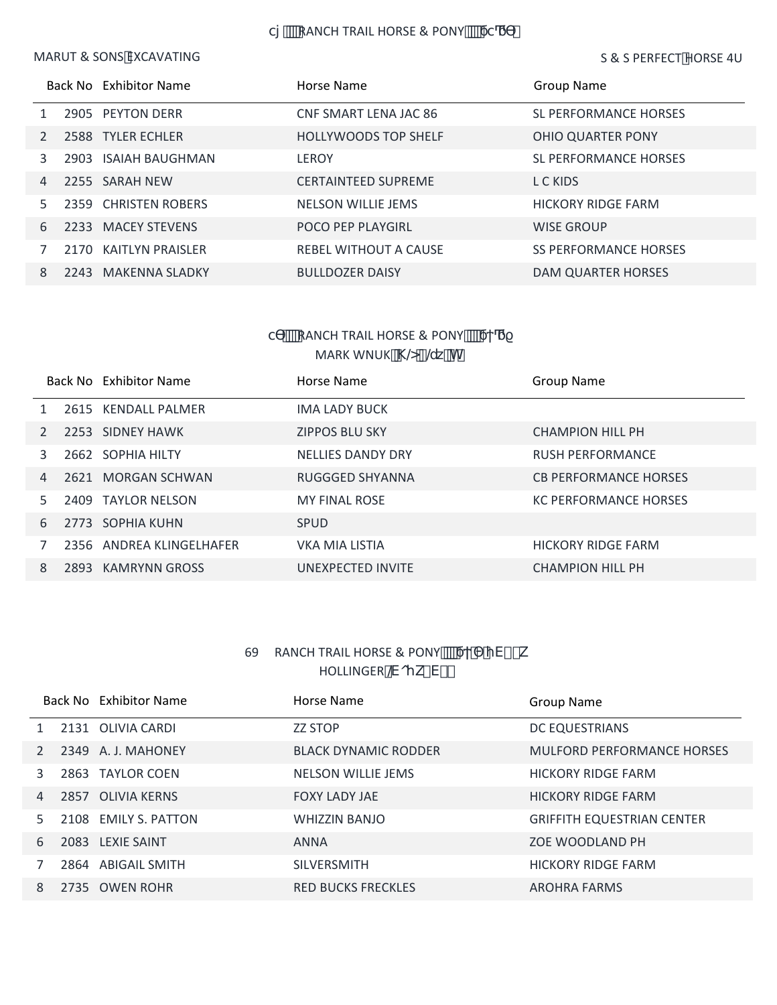#### *CONCH TRAIL HORSE & PONY* **CONCE**

## MARUT & SONS EXCAVATING SERVICE SUBSEXED FOR SALE SERVICE SERVICE SERVICE SERVICE SERVICE AND SERVICE AND SERVICE AND SERVICE SERVICE SERVICE SERVICE SERVICE SERVICE SERVICE SERVICE SERVICE SERVICE SERVICE SERVICE SERVICE

|    |      | Back No Exhibitor Name | Horse Name                  | Group Name                   |
|----|------|------------------------|-----------------------------|------------------------------|
|    |      | 2905 PEYTON DERR       | CNF SMART LENA JAC 86       | SL PERFORMANCE HORSES        |
|    |      | 2588 TYLER ECHLER      | <b>HOLLYWOODS TOP SHELF</b> | <b>OHIO QUARTER PONY</b>     |
| 3  | 2903 | <b>ISAIAH BAUGHMAN</b> | LEROY                       | SL PERFORMANCE HORSES        |
| 4  |      | 2255 SARAH NEW         | <b>CERTAINTEED SUPREME</b>  | L C KIDS                     |
| 5. |      | 2359 CHRISTEN ROBERS   | <b>NELSON WILLIE JEMS</b>   | <b>HICKORY RIDGE FARM</b>    |
| 6  |      | 2233 MACEY STEVENS     | POCO PEP PLAYGIRL           | <b>WISE GROUP</b>            |
|    |      | 2170 KAITLYN PRAISLER  | REBEL WITHOUT A CAUSE       | <b>SS PERFORMANCE HORSES</b> |
| 8  | 2243 | <b>MAKENNA SLADKY</b>  | <b>BULLDOZER DAISY</b>      | DAM QUARTER HORSES           |

## *CONCH TRAIL HORSE & PONY* **CONCHET TRAIL HORSE & PONY** MARK WNUK \@#@'h`

|    |      | Back No. Exhibitor Name  | Horse Name               | <b>Group Name</b>            |
|----|------|--------------------------|--------------------------|------------------------------|
|    |      | 2615 KENDALL PALMER      | <b>IMA LADY BUCK</b>     |                              |
|    |      | 2253 SIDNEY HAWK         | <b>ZIPPOS BLU SKY</b>    | CHAMPION HILL PH             |
| 3  |      | 2662 SOPHIA HILTY        | <b>NELLIES DANDY DRY</b> | <b>RUSH PERFORMANCE</b>      |
| 4  |      | 2621 MORGAN SCHWAN       | RUGGGED SHYANNA          | <b>CB PERFORMANCE HORSES</b> |
| 5. |      | 2409 TAYLOR NELSON       | <b>MY FINAL ROSE</b>     | <b>KC PERFORMANCE HORSES</b> |
| 6  |      | 2773 SOPHIA KUHN         | <b>SPUD</b>              |                              |
|    |      | 2356 ANDREA KLINGELHAFER | VKA MIA LISTIA           | <b>HICKORY RIDGE FARM</b>    |
| 8  | 2893 | <b>KAMRYNN GROSS</b>     | UNEXPECTED INVITE        | CHAMPION HILL PH             |

## 69 RANCH TRAIL HORSE & PONY<sup>THE</sup> YV) - k HOLLINGER@ / oyk° V#-

|                | Back No Exhibitor Name | Horse Name                  | <b>Group Name</b>                 |
|----------------|------------------------|-----------------------------|-----------------------------------|
|                | 2131 OLIVIA CARDI      | ZZ STOP                     | DC EQUESTRIANS                    |
|                | 2349 A. J. MAHONEY     | <b>BLACK DYNAMIC RODDER</b> | <b>MULFORD PERFORMANCE HORSES</b> |
| 3              | 2863 TAYLOR COEN       | NELSON WILLIE JEMS          | <b>HICKORY RIDGE FARM</b>         |
| $\overline{4}$ | 2857 OLIVIA KERNS      | <b>FOXY LADY JAE</b>        | <b>HICKORY RIDGE FARM</b>         |
| 5.             | 2108 EMILY S. PATTON   | <b>WHIZZIN BANJO</b>        | <b>GRIFFITH EQUESTRIAN CENTER</b> |
| 6              | 2083 LEXIE SAINT       | <b>ANNA</b>                 | ZOE WOODLAND PH                   |
|                | 2864 ABIGAIL SMITH     | <b>SILVERSMITH</b>          | <b>HICKORY RIDGE FARM</b>         |
| 8              | 2735 OWEN ROHR         | <b>RED BUCKS FRECKLES</b>   | <b>AROHRA FARMS</b>               |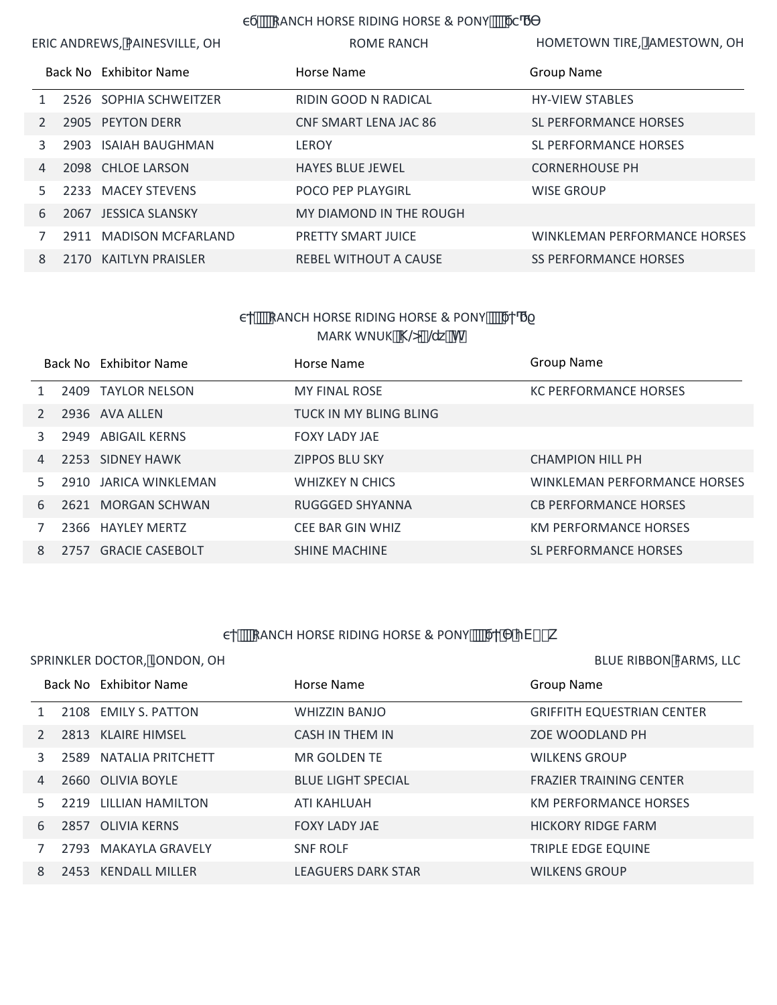## *CORE RIDING HORSE & PONY* **COREGIST**

| ERIC ANDREWS, PAINESVILLE, OH |      |                          | ROME RANCH                | HOMETOWN TIRE, JAMESTOWN, OH        |
|-------------------------------|------|--------------------------|---------------------------|-------------------------------------|
|                               |      | Back No Exhibitor Name   | Horse Name                | <b>Group Name</b>                   |
|                               |      | 2526 SOPHIA SCHWEITZER   | RIDIN GOOD N RADICAL      | <b>HY-VIEW STABLES</b>              |
|                               |      | 2905 PEYTON DERR         | CNF SMART LENA JAC 86     | <b>SL PERFORMANCE HORSES</b>        |
| 3.                            | 2903 | <b>ISAIAH BAUGHMAN</b>   | <b>LEROY</b>              | SL PERFORMANCE HORSES               |
| 4                             |      | 2098 CHLOE LARSON        | <b>HAYES BLUE JEWEL</b>   | <b>CORNERHOUSE PH</b>               |
| 5.                            | 2233 | <b>MACEY STEVENS</b>     | <b>POCO PEP PLAYGIRL</b>  | <b>WISE GROUP</b>                   |
| 6                             |      | 2067 JESSICA SLANSKY     | MY DIAMOND IN THE ROUGH   |                                     |
|                               | 2911 | <b>MADISON MCFARLAND</b> | <b>PRETTY SMART JUICE</b> | <b>WINKLEMAN PERFORMANCE HORSES</b> |
| 8                             |      | 2170 KAITLYN PRAISLER    | REBEL WITHOUT A CAUSE     | <b>SS PERFORMANCE HORSES</b>        |

## **""RANCH HORSE RIDING HORSE & PONY""** MARK WNUK \@#@'h`

|              |      | Back No Exhibitor Name | Horse Name              | <b>Group Name</b>                   |
|--------------|------|------------------------|-------------------------|-------------------------------------|
|              |      | 2409 TAYLOR NELSON     | <b>MY FINAL ROSE</b>    | <b>KC PERFORMANCE HORSES</b>        |
|              |      | 2936 AVA ALLEN         | TUCK IN MY BLING BLING  |                                     |
|              |      | 2949 ABIGAIL KERNS     | <b>FOXY LADY JAE</b>    |                                     |
| 4            |      | 2253 SIDNEY HAWK       | <b>ZIPPOS BLU SKY</b>   | <b>CHAMPION HILL PH</b>             |
| 5.           |      | 2910 JARICA WINKLEMAN  | <b>WHIZKEY N CHICS</b>  | <b>WINKLEMAN PERFORMANCE HORSES</b> |
| 6            |      | 2621 MORGAN SCHWAN     | RUGGGED SHYANNA         | <b>CB PERFORMANCE HORSES</b>        |
|              |      | 2366 HAYLEY MERTZ      | <b>CEE BAR GIN WHIZ</b> | <b>KM PERFORMANCE HORSES</b>        |
| <sup>8</sup> | 2757 | <b>GRACIE CASEBOLT</b> | <b>SHINE MACHINE</b>    | <b>SL PERFORMANCE HORSES</b>        |

# *""RANCH HORSE RIDING HORSE & PONY"" yV) - k*

| SPRINKLER DOCTOR, LONDON, OH |  |                        |                           | <b>BLUE RIBBON FARMS, LLC</b>     |
|------------------------------|--|------------------------|---------------------------|-----------------------------------|
|                              |  | Back No Exhibitor Name | Horse Name                | <b>Group Name</b>                 |
|                              |  | 2108 EMILY S. PATTON   | <b>WHIZZIN BANJO</b>      | <b>GRIFFITH EQUESTRIAN CENTER</b> |
| $\mathcal{P}$                |  | 2813 KLAIRE HIMSEL     | CASH IN THEM IN           | ZOE WOODLAND PH                   |
| 3                            |  | 2589 NATALIA PRITCHETT | MR GOLDEN TE              | <b>WILKENS GROUP</b>              |
| 4                            |  | 2660 OLIVIA BOYLE      | <b>BLUE LIGHT SPECIAL</b> | <b>FRAZIER TRAINING CENTER</b>    |
| 5.                           |  | 2219 LILLIAN HAMILTON  | ATI KAHLUAH               | <b>KM PERFORMANCE HORSES</b>      |
| 6                            |  | 2857 OLIVIA KERNS      | <b>FOXY LADY JAE</b>      | <b>HICKORY RIDGE FARM</b>         |
|                              |  | 2793 MAKAYLA GRAVELY   | <b>SNF ROLF</b>           | TRIPLE EDGE EQUINE                |
| 8                            |  | 2453 KENDALL MILLER    | <b>LEAGUERS DARK STAR</b> | <b>WILKENS GROUP</b>              |